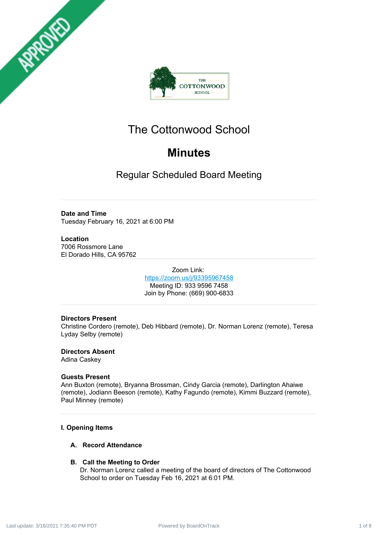



# The Cottonwood School

# **Minutes**

Regular Scheduled Board Meeting

# **Date and Time**

Tuesday February 16, 2021 at 6:00 PM

# **Location**

7006 Rossmore Lane El Dorado Hills, CA 95762

> Zoom Link: <https://zoom.us/j/93395967458> Meeting ID: 933 9596 7458 Join by Phone: (669) 900-6833

# **Directors Present**

Christine Cordero (remote), Deb Hibbard (remote), Dr. Norman Lorenz (remote), Teresa Lyday Selby (remote)

**Directors Absent** Adina Caskey

# **Guests Present**

Ann Buxton (remote), Bryanna Brossman, Cindy Garcia (remote), Darlington Ahaiwe (remote), Jodiann Beeson (remote), Kathy Fagundo (remote), Kimmi Buzzard (remote), Paul Minney (remote)

# **I. Opening Items**

# **A. Record Attendance**

# **B. Call the Meeting to Order**

Dr. Norman Lorenz called a meeting of the board of directors of The Cottonwood School to order on Tuesday Feb 16, 2021 at 6:01 PM.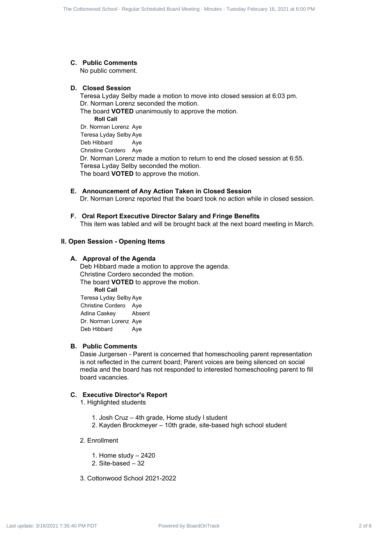# **C. Public Comments**

No public comment.

## **D. Closed Session**

Teresa Lyday Selby made a motion to move into closed session at 6:03 pm. Dr. Norman Lorenz seconded the motion. The board **VOTED** unanimously to approve the motion. **Roll Call** Dr. Norman Lorenz Aye Teresa Lyday Selby Aye Deb Hibbard Aye Christine Cordero Aye Dr. Norman Lorenz made a motion to return to end the closed session at 6:55. Teresa Lyday Selby seconded the motion. The board **VOTED** to approve the motion. Powered by Board Power Power Power Power Power Power Power Power Power Power Power Power Power Power Power Power Power Power Power Power Power Power Power Power Power Power Power Power Power Power Power Power Power Power

# **E. Announcement of Any Action Taken in Closed Session**

Dr. Norman Lorenz reported that the board took no action while in closed session.

## **F. Oral Report Executive Director Salary and Fringe Benefits**

This item was tabled and will be brought back at the next board meeting in March.

## **II. Open Session - Opening Items**

## **A. Approval of the Agenda**

Deb Hibbard made a motion to approve the agenda. Christine Cordero seconded the motion. The board **VOTED** to approve the motion. **Roll Call**

Teresa Lyday Selby Aye Christine Cordero Aye Adina Caskey Absent Dr. Norman Lorenz Aye Deb Hibbard Aye

## **B. Public Comments**

Dasie Jurgersen - Parent is concerned that homeschooling parent representation is not reflected in the current board; Parent voices are being silenced on social media and the board has not responded to interested homeschooling parent to fill board vacancies.

## **C. Executive Director's Report**

- 1. Highlighted students
	- 1. Josh Cruz 4th grade, Home study l student
	- 2. Kayden Brockmeyer 10th grade, site-based high school student
- 2. Enrollment
	- 1. Home study 2420
	- 2. Site-based 32
- 3. Cottonwood School 2021-2022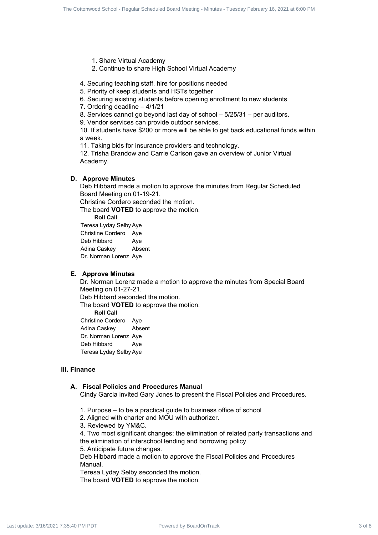- 1. Share Virtual Academy
- 2. Continue to share High School Virtual Academy

4. Securing teaching staff, hire for positions needed

- 5. Priority of keep students and HSTs together
- 6. Securing existing students before opening enrollment to new students
- 7. Ordering deadline 4/1/21

8. Services cannot go beyond last day of school – 5/25/31 – per auditors.

9. Vendor services can provide outdoor services.

10. If students have \$200 or more will be able to get back educational funds within a week. Problem and Board 3 of Board 3 of 8 Cottonwood School - Regular School - Regular Schedule Board School - Regular Schedule Board Schedule Board Schedule Board Schedule Board Meeting - Schedule Conservations - The Conservat

11. Taking bids for insurance providers and technology.

12. Trisha Brandow and Carrie Carlson gave an overview of Junior Virtual Academy.

## **D. Approve Minutes**

Deb Hibbard made a motion to approve the minutes from Regular Scheduled Board Meeting on 01-19-21.

Christine Cordero seconded the motion.

The board **VOTED** to approve the motion.

**Roll Call**

Teresa Lyday Selby Aye Christine Cordero Aye Deb Hibbard Ave Adina Caskey Absent Dr. Norman Lorenz Aye

#### **E. Approve Minutes**

Dr. Norman Lorenz made a motion to approve the minutes from Special Board Meeting on 01-27-21.

Deb Hibbard seconded the motion.

The board **VOTED** to approve the motion.

**Roll Call**

Christine Cordero Aye Adina Caskey Absent Dr. Norman Lorenz Aye Deb Hibbard Ave Teresa Lyday Selby Aye

#### **III. Finance**

## **A. Fiscal Policies and Procedures Manual**

Cindy Garcia invited Gary Jones to present the Fiscal Policies and Procedures.

- 1. Purpose to be a practical guide to business office of school
- 2. Aligned with charter and MOU with authorizer.
- 3. Reviewed by YM&C.

4. Two most significant changes: the elimination of related party transactions and the elimination of interschool lending and borrowing policy

5. Anticipate future changes.

Deb Hibbard made a motion to approve the Fiscal Policies and Procedures Manual.

Teresa Lyday Selby seconded the motion.

The board **VOTED** to approve the motion.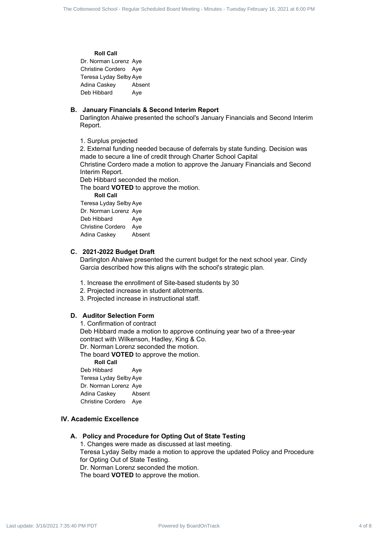#### **Roll Call**

Dr. Norman Lorenz Aye Christine Cordero Aye Teresa Lyday Selby Aye Adina Caskey Absent Deb Hibbard Aye

## **B. January Financials & Second Interim Report**

Darlington Ahaiwe presented the school's January Financials and Second Interim Report.

1. Surplus projected

2. External funding needed because of deferrals by state funding. Decision was made to secure a line of credit through Charter School Capital Christine Cordero made a motion to approve the January Financials and Second Interim Report. Power by BoardOnTrack 4 of 8 The Cottonwood School Access 4 of 8 The Cottonwood School - Regular School - Regular School - Regular Schedule Board Meeting - Tuesday February 16, 2021 at 6:00 PM Last update: 3/16/2021 7:35:

Deb Hibbard seconded the motion.

The board **VOTED** to approve the motion.

**Roll Call**

Teresa Lyday Selby Aye Dr. Norman Lorenz Aye Deb Hibbard Aye Christine Cordero Aye Adina Caskey Absent

## **C. 2021-2022 Budget Draft**

Darlington Ahaiwe presented the current budget for the next school year. Cindy Garcia described how this aligns with the school's strategic plan.

- 1. Increase the enrollment of Site-based students by 30
- 2. Projected increase in student allotments.
- 3. Projected increase in instructional staff.

# **D. Auditor Selection Form**

1. Confirmation of contract

Deb Hibbard made a motion to approve continuing year two of a three-year contract with Wilkenson, Hadley, King & Co.

Dr. Norman Lorenz seconded the motion.

The board **VOTED** to approve the motion.

**Roll Call**

Deb Hibbard Aye Teresa Lyday Selby Aye Dr. Norman Lorenz Aye Adina Caskey Absent Christine Cordero Aye

## **IV. Academic Excellence**

## **A. Policy and Procedure for Opting Out of State Testing**

1. Changes were made as discussed at last meeting.

Teresa Lyday Selby made a motion to approve the updated Policy and Procedure for Opting Out of State Testing.

Dr. Norman Lorenz seconded the motion.

The board **VOTED** to approve the motion.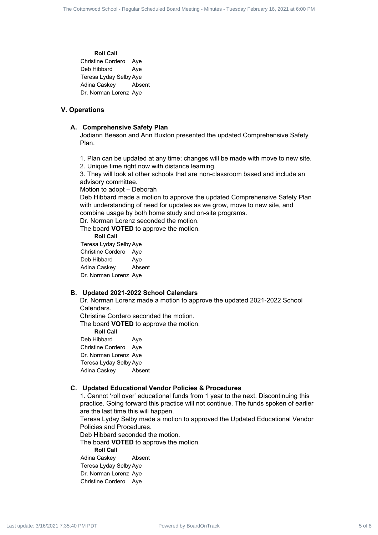#### **Roll Call**

Christine Cordero Aye Deb Hibbard Aye Teresa Lyday Selby Aye Adina Caskey Absent Dr. Norman Lorenz Aye

## **V. Operations**

#### **A. Comprehensive Safety Plan**

Jodiann Beeson and Ann Buxton presented the updated Comprehensive Safety Plan.

- 1. Plan can be updated at any time; changes will be made with move to new site.
- 2. Unique time right now with distance learning.

3. They will look at other schools that are non-classroom based and include an advisory committee.

Motion to adopt – Deborah

Deb Hibbard made a motion to approve the updated Comprehensive Safety Plan with understanding of need for updates as we grow, move to new site, and combine usage by both home study and on-site programs. Power by BoardOnTrack 5 of 8 Contenents 5 of 8 The Contenents of 8 Contenents 5 of 8 Contenents 5 of 8 Contenents 5 of 8 Contenents and Contenents are a specifical scheduled Board Meeting - Tuesday February 16, 2021 at 6:

Dr. Norman Lorenz seconded the motion.

The board **VOTED** to approve the motion.

**Roll Call**

Teresa Lyday Selby Aye Christine Cordero Aye Deb Hibbard Aye Adina Caskey Absent Dr. Norman Lorenz Aye

## **B. Updated 2021-2022 School Calendars**

Dr. Norman Lorenz made a motion to approve the updated 2021-2022 School Calendars.

Christine Cordero seconded the motion.

The board **VOTED** to approve the motion.

**Roll Call**

Deb Hibbard Aye Christine Cordero Aye Dr. Norman Lorenz Aye Teresa Lyday Selby Aye Adina Caskey Absent

#### **C. Updated Educational Vendor Policies & Procedures**

1. Cannot 'roll over' educational funds from 1 year to the next. Discontinuing this practice. Going forward this practice will not continue. The funds spoken of earlier are the last time this will happen.

Teresa Lyday Selby made a motion to approved the Updated Educational Vendor Policies and Procedures.

Deb Hibbard seconded the motion.

The board **VOTED** to approve the motion.

**Roll Call**

Adina Caskey Absent Teresa Lyday Selby Aye Dr. Norman Lorenz Aye Christine Cordero Aye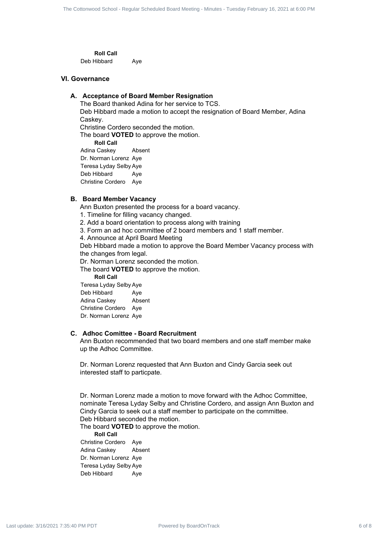**Roll Call**

Deb Hibbard Aye

## **VI. Governance**

## **A. Acceptance of Board Member Resignation**

The Board thanked Adina for her service to TCS. Deb Hibbard made a motion to accept the resignation of Board Member, Adina Caskey.

Christine Cordero seconded the motion.

The board **VOTED** to approve the motion.

**Roll Call** Adina Caskey Absent Dr. Norman Lorenz Aye Teresa Lyday Selby Aye Deb Hibbard Aye Christine Cordero Aye

## **B. Board Member Vacancy**

Ann Buxton presented the process for a board vacancy.

- 1. Timeline for filling vacancy changed.
- 2. Add a board orientation to process along with training
- 3. Form an ad hoc committee of 2 board members and 1 staff member.
- 4. Announce at April Board Meeting

Deb Hibbard made a motion to approve the Board Member Vacancy process with the changes from legal.

Dr. Norman Lorenz seconded the motion.

The board **VOTED** to approve the motion.

**Roll Call**

Teresa Lyday Selby Aye Deb Hibbard Ave Adina Caskey Absent Christine Cordero Aye Dr. Norman Lorenz Aye

## **C. Adhoc Comittee - Board Recruitment**

Ann Buxton recommended that two board members and one staff member make up the Adhoc Committee.

Dr. Norman Lorenz requested that Ann Buxton and Cindy Garcia seek out interested staff to particpate.

Dr. Norman Lorenz made a motion to move forward with the Adhoc Committee, nominate Teresa Lyday Selby and Christine Cordero, and assign Ann Buxton and Cindy Garcia to seek out a staff member to participate on the committee. Deb Hibbard seconded the motion. Powered by BoardOnTrack 6 of 8 The Cottonwood School - Regular Scheduled Board Meeting - Minutes - Tuesday February 16, 2021 at 6:00 PM Last update: 3/16/2021 7:35:40 PM PDT

The board **VOTED** to approve the motion.

**Roll Call** Christine Cordero Aye Adina Caskey Absent Dr. Norman Lorenz Aye Teresa Lyday Selby Aye Deb Hibbard Ave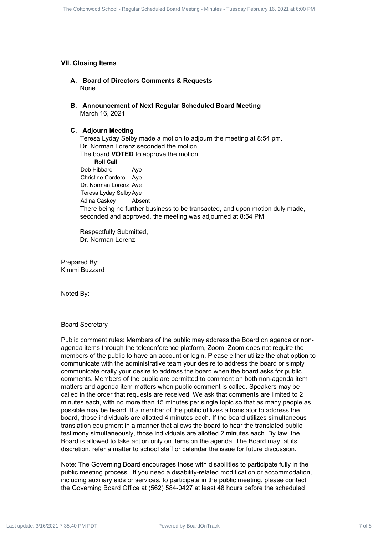## **VII. Closing Items**

- **A. Board of Directors Comments & Requests** None.
- **B. Announcement of Next Regular Scheduled Board Meeting** March 16, 2021

## **C. Adjourn Meeting**

Teresa Lyday Selby made a motion to adjourn the meeting at 8:54 pm. Dr. Norman Lorenz seconded the motion. The board **VOTED** to approve the motion. **Roll Call** Deb Hibbard Aye Christine Cordero Aye Dr. Norman Lorenz Aye Teresa Lyday Selby Aye Adina Caskey Absent There being no further business to be transacted, and upon motion duly made, seconded and approved, the meeting was adjourned at 8:54 PM.

Respectfully Submitted, Dr. Norman Lorenz

Prepared By: Kimmi Buzzard

Noted By:

#### Board Secretary

Public comment rules: Members of the public may address the Board on agenda or nonagenda items through the teleconference platform, Zoom. Zoom does not require the members of the public to have an account or login. Please either utilize the chat option to communicate with the administrative team your desire to address the board or simply communicate orally your desire to address the board when the board asks for public comments. Members of the public are permitted to comment on both non-agenda item matters and agenda item matters when public comment is called. Speakers may be called in the order that requests are received. We ask that comments are limited to 2 minutes each, with no more than 15 minutes per single topic so that as many people as possible may be heard. If a member of the public utilizes a translator to address the board, those individuals are allotted 4 minutes each. If the board utilizes simultaneous translation equipment in a manner that allows the board to hear the translated public testimony simultaneously, those individuals are allotted 2 minutes each. By law, the Board is allowed to take action only on items on the agenda. The Board may, at its discretion, refer a matter to school staff or calendar the issue for future discussion. Probables Board Power Board Procedure - Regular Scheduled School Hard Procedure Contenents - Regular School - Regular Scheduled Board Meeting<br>
More: The Cottonwood School - Regular Scheduled Board Meeting<br>
C. Adjoint Meet

Note: The Governing Board encourages those with disabilities to participate fully in the public meeting process. If you need a disability-related modification or accommodation, including auxiliary aids or services, to participate in the public meeting, please contact the Governing Board Office at (562) 584-0427 at least 48 hours before the scheduled